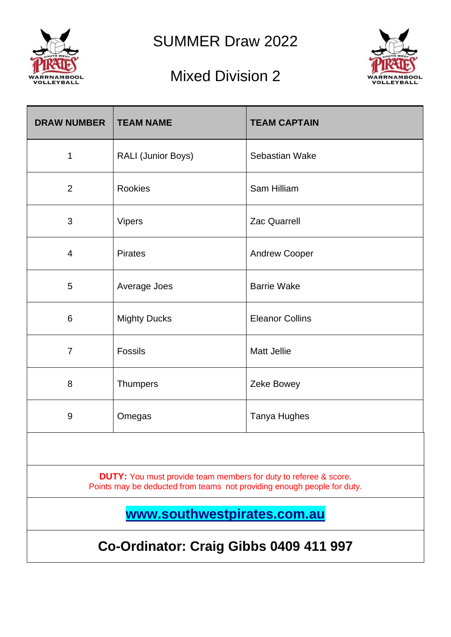

SUMMER Draw 2022

## Mixed Division 2



| <b>DRAW NUMBER</b>                                                                                                                                 | <b>TEAM NAME</b>          | <b>TEAM CAPTAIN</b>    |  |  |  |  |
|----------------------------------------------------------------------------------------------------------------------------------------------------|---------------------------|------------------------|--|--|--|--|
| 1                                                                                                                                                  | <b>RALI (Junior Boys)</b> | Sebastian Wake         |  |  |  |  |
| $\overline{2}$                                                                                                                                     | Rookies                   | Sam Hilliam            |  |  |  |  |
| 3                                                                                                                                                  | <b>Vipers</b>             | <b>Zac Quarrell</b>    |  |  |  |  |
| 4                                                                                                                                                  | <b>Pirates</b>            | <b>Andrew Cooper</b>   |  |  |  |  |
| 5                                                                                                                                                  | Average Joes              | <b>Barrie Wake</b>     |  |  |  |  |
| 6                                                                                                                                                  | <b>Mighty Ducks</b>       | <b>Eleanor Collins</b> |  |  |  |  |
| $\overline{7}$                                                                                                                                     | <b>Fossils</b>            | <b>Matt Jellie</b>     |  |  |  |  |
| 8                                                                                                                                                  | <b>Thumpers</b>           | Zeke Bowey             |  |  |  |  |
| 9                                                                                                                                                  | Omegas                    | <b>Tanya Hughes</b>    |  |  |  |  |
|                                                                                                                                                    |                           |                        |  |  |  |  |
| <b>DUTY:</b> You must provide team members for duty to referee & score.<br>Points may be deducted from teams not providing enough people for duty. |                           |                        |  |  |  |  |
| www.southwestpirates.com.au                                                                                                                        |                           |                        |  |  |  |  |
| Co-Ordinator: Craig Gibbs 0409 411 997                                                                                                             |                           |                        |  |  |  |  |